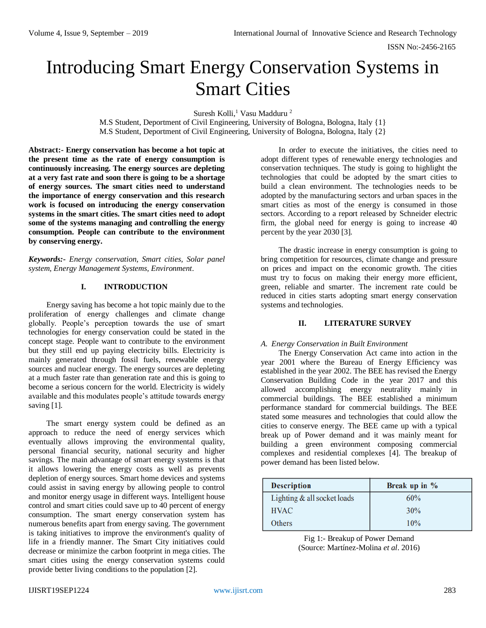ISSN No:-2456-2165

# Introducing Smart Energy Conservation Systems in Smart Cities

Suresh Kolli,<sup>1</sup> Vasu Madduru<sup>2</sup>

M.S Student, Deportment of Civil Engineering, University of Bologna, Bologna, Italy {1} M.S Student, Deportment of Civil Engineering, University of Bologna, Bologna, Italy {2}

**Abstract:- Energy conservation has become a hot topic at the present time as the rate of energy consumption is continuously increasing. The energy sources are depleting at a very fast rate and soon there is going to be a shortage of energy sources. The smart cities need to understand the importance of energy conservation and this research work is focused on introducing the energy conservation systems in the smart cities. The smart cities need to adopt some of the systems managing and controlling the energy consumption. People can contribute to the environment by conserving energy.**

*Keywords:- Energy conservation, Smart cities, Solar panel system, Energy Management Systems, Environment.*

# **I. INTRODUCTION**

Energy saving has become a hot topic mainly due to the proliferation of energy challenges and climate change globally. People's perception towards the use of smart technologies for energy conservation could be stated in the concept stage. People want to contribute to the environment but they still end up paying electricity bills. Electricity is mainly generated through fossil fuels, renewable energy sources and nuclear energy. The energy sources are depleting at a much faster rate than generation rate and this is going to become a serious concern for the world. Electricity is widely available and this modulates people's attitude towards energy saving [1].

The smart energy system could be defined as an approach to reduce the need of energy services which eventually allows improving the environmental quality, personal financial security, national security and higher savings. The main advantage of smart energy systems is that it allows lowering the energy costs as well as prevents depletion of energy sources. Smart home devices and systems could assist in saving energy by allowing people to control and monitor energy usage in different ways. Intelligent house control and smart cities could save up to 40 percent of energy consumption. The smart energy conservation system has numerous benefits apart from energy saving. The government is taking initiatives to improve the environment's quality of life in a friendly manner. The Smart City initiatives could decrease or minimize the carbon footprint in mega cities. The smart cities using the energy conservation systems could provide better living conditions to the population [2].

In order to execute the initiatives, the cities need to adopt different types of renewable energy technologies and conservation techniques. The study is going to highlight the technologies that could be adopted by the smart cities to build a clean environment. The technologies needs to be adopted by the manufacturing sectors and urban spaces in the smart cities as most of the energy is consumed in those sectors. According to a report released by Schneider electric firm, the global need for energy is going to increase 40 percent by the year 2030 [3].

The drastic increase in energy consumption is going to bring competition for resources, climate change and pressure on prices and impact on the economic growth. The cities must try to focus on making their energy more efficient, green, reliable and smarter. The increment rate could be reduced in cities starts adopting smart energy conservation systems and technologies.

# **II. LITERATURE SURVEY**

#### *A. Energy Conservation in Built Environment*

The Energy Conservation Act came into action in the year 2001 where the Bureau of Energy Efficiency was established in the year 2002. The BEE has revised the Energy Conservation Building Code in the year 2017 and this allowed accomplishing energy neutrality mainly in commercial buildings. The BEE established a minimum performance standard for commercial buildings. The BEE stated some measures and technologies that could allow the cities to conserve energy. The BEE came up with a typical break up of Power demand and it was mainly meant for building a green environment composing commercial complexes and residential complexes [4]. The breakup of power demand has been listed below.

| <b>Description</b>            | Break up in $%$ |
|-------------------------------|-----------------|
| Lighting $&$ all socket loads | 60%             |
| <b>HVAC</b>                   | 30%             |
| Others                        | 10%             |

Fig 1:- Breakup of Power Demand (Source: Martínez-Molina *et al*. 2016)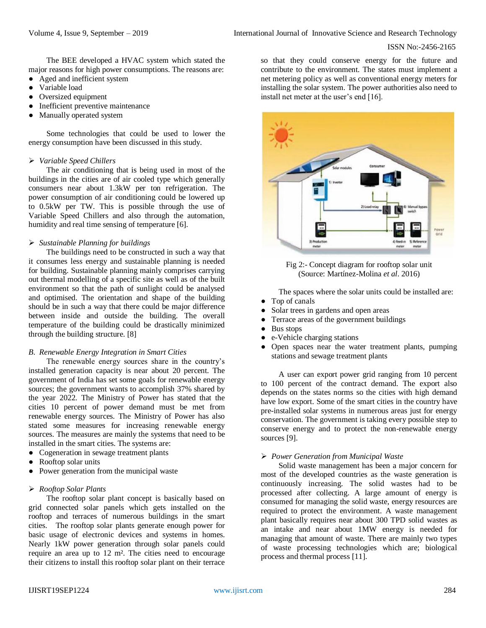The BEE developed a HVAC system which stated the major reasons for high power consumptions. The reasons are:

- Aged and inefficient system
- Variable load
- Oversized equipment
- Inefficient preventive maintenance
- Manually operated system

Some technologies that could be used to lower the energy consumption have been discussed in this study.

### *Variable Speed Chillers*

The air conditioning that is being used in most of the buildings in the cities are of air cooled type which generally consumers near about 1.3kW per ton refrigeration. The power consumption of air conditioning could be lowered up to 0.5kW per TW. This is possible through the use of Variable Speed Chillers and also through the automation, humidity and real time sensing of temperature [6].

#### *Sustainable Planning for buildings*

The buildings need to be constructed in such a way that it consumes less energy and sustainable planning is needed for building. Sustainable planning mainly comprises carrying out thermal modelling of a specific site as well as of the built environment so that the path of sunlight could be analysed and optimised. The orientation and shape of the building should be in such a way that there could be major difference between inside and outside the building. The overall temperature of the building could be drastically minimized through the building structure. [8]

## *B. Renewable Energy Integration in Smart Cities*

The renewable energy sources share in the country's installed generation capacity is near about 20 percent. The government of India has set some goals for renewable energy sources; the government wants to accomplish 37% shared by the year 2022. The Ministry of Power has stated that the cities 10 percent of power demand must be met from renewable energy sources. The Ministry of Power has also stated some measures for increasing renewable energy sources. The measures are mainly the systems that need to be installed in the smart cities. The systems are:

- Cogeneration in sewage treatment plants
- Rooftop solar units
- Power generation from the municipal waste

#### *Rooftop Solar Plants*

The rooftop solar plant concept is basically based on grid connected solar panels which gets installed on the rooftop and terraces of numerous buildings in the smart cities. The rooftop solar plants generate enough power for basic usage of electronic devices and systems in homes. Nearly 1kW power generation through solar panels could require an area up to 12 m². The cities need to encourage their citizens to install this rooftop solar plant on their terrace so that they could conserve energy for the future and contribute to the environment. The states must implement a net metering policy as well as conventional energy meters for installing the solar system. The power authorities also need to install net meter at the user's end [16].



Fig 2:- Concept diagram for rooftop solar unit (Source: Martínez-Molina *et al*. 2016)

The spaces where the solar units could be installed are:

- Top of canals
- Solar trees in gardens and open areas
- Terrace areas of the government buildings
- Bus stops
- e-Vehicle charging stations
- Open spaces near the water treatment plants, pumping stations and sewage treatment plants

A user can export power grid ranging from 10 percent to 100 percent of the contract demand. The export also depends on the states norms so the cities with high demand have low export. Some of the smart cities in the country have pre-installed solar systems in numerous areas just for energy conservation. The government is taking every possible step to conserve energy and to protect the non-renewable energy sources [9].

#### *Power Generation from Municipal Waste*

Solid waste management has been a major concern for most of the developed countries as the waste generation is continuously increasing. The solid wastes had to be processed after collecting. A large amount of energy is consumed for managing the solid waste, energy resources are required to protect the environment. A waste management plant basically requires near about 300 TPD solid wastes as an intake and near about 1MW energy is needed for managing that amount of waste. There are mainly two types of waste processing technologies which are; biological process and thermal process [11].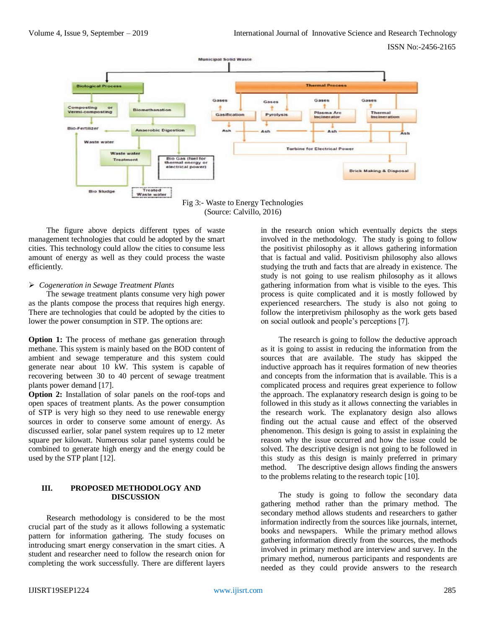

Fig 3:- Waste to Energy Technologies (Source: Calvillo, 2016)

The figure above depicts different types of waste management technologies that could be adopted by the smart cities. This technology could allow the cities to consume less amount of energy as well as they could process the waste efficiently.

# *Cogeneration in Sewage Treatment Plants*

The sewage treatment plants consume very high power as the plants compose the process that requires high energy. There are technologies that could be adopted by the cities to lower the power consumption in STP. The options are:

**Option 1:** The process of methane gas generation through methane. This system is mainly based on the BOD content of ambient and sewage temperature and this system could generate near about 10 kW. This system is capable of recovering between 30 to 40 percent of sewage treatment plants power demand [17].

**Option 2:** Installation of solar panels on the roof-tops and open spaces of treatment plants. As the power consumption of STP is very high so they need to use renewable energy sources in order to conserve some amount of energy. As discussed earlier, solar panel system requires up to 12 meter square per kilowatt. Numerous solar panel systems could be combined to generate high energy and the energy could be used by the STP plant [12].

# **III. PROPOSED METHODOLOGY AND DISCUSSION**

Research methodology is considered to be the most crucial part of the study as it allows following a systematic pattern for information gathering. The study focuses on introducing smart energy conservation in the smart cities. A student and researcher need to follow the research onion for completing the work successfully. There are different layers in the research onion which eventually depicts the steps involved in the methodology. The study is going to follow the positivist philosophy as it allows gathering information that is factual and valid. Positivism philosophy also allows studying the truth and facts that are already in existence. The study is not going to use realism philosophy as it allows gathering information from what is visible to the eyes. This process is quite complicated and it is mostly followed by experienced researchers. The study is also not going to follow the interpretivism philosophy as the work gets based on social outlook and people's perceptions [7].

The research is going to follow the deductive approach as it is going to assist in reducing the information from the sources that are available. The study has skipped the inductive approach has it requires formation of new theories and concepts from the information that is available. This is a complicated process and requires great experience to follow the approach. The explanatory research design is going to be followed in this study as it allows connecting the variables in the research work. The explanatory design also allows finding out the actual cause and effect of the observed phenomenon. This design is going to assist in explaining the reason why the issue occurred and how the issue could be solved. The descriptive design is not going to be followed in this study as this design is mainly preferred in primary method. The descriptive design allows finding the answers to the problems relating to the research topic [10].

The study is going to follow the secondary data gathering method rather than the primary method. The secondary method allows students and researchers to gather information indirectly from the sources like journals, internet, books and newspapers. While the primary method allows gathering information directly from the sources, the methods involved in primary method are interview and survey. In the primary method, numerous participants and respondents are needed as they could provide answers to the research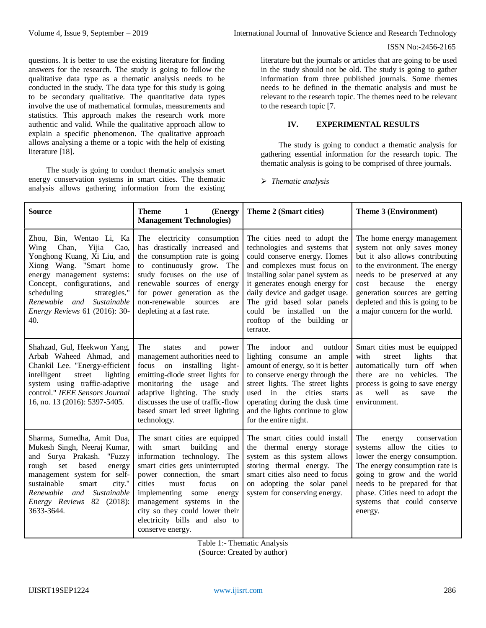questions. It is better to use the existing literature for finding answers for the research. The study is going to follow the qualitative data type as a thematic analysis needs to be conducted in the study. The data type for this study is going to be secondary qualitative. The quantitative data types involve the use of mathematical formulas, measurements and statistics. This approach makes the research work more authentic and valid. While the qualitative approach allow to explain a specific phenomenon. The qualitative approach allows analysing a theme or a topic with the help of existing literature [18].

The study is going to conduct thematic analysis smart energy conservation systems in smart cities. The thematic analysis allows gathering information from the existing

literature but the journals or articles that are going to be used in the study should not be old. The study is going to gather information from three published journals. Some themes needs to be defined in the thematic analysis and must be relevant to the research topic. The themes need to be relevant to the research topic [7.

# **IV. EXPERIMENTAL RESULTS**

The study is going to conduct a thematic analysis for gathering essential information for the research topic. The thematic analysis is going to be comprised of three journals.

*Thematic analysis*

| <b>Source</b>                                                                                                                                                                                                                                                                         | <b>Theme</b><br>(Energy<br>$\mathbf{1}$<br><b>Management Technologies)</b>                                                                                                                                                                                                                                                                                              | Theme 2 (Smart cities)                                                                                                                                                                                                                                                                                                                     | Theme 3 (Environment)                                                                                                                                                                                                                                                                                      |
|---------------------------------------------------------------------------------------------------------------------------------------------------------------------------------------------------------------------------------------------------------------------------------------|-------------------------------------------------------------------------------------------------------------------------------------------------------------------------------------------------------------------------------------------------------------------------------------------------------------------------------------------------------------------------|--------------------------------------------------------------------------------------------------------------------------------------------------------------------------------------------------------------------------------------------------------------------------------------------------------------------------------------------|------------------------------------------------------------------------------------------------------------------------------------------------------------------------------------------------------------------------------------------------------------------------------------------------------------|
| Zhou, Bin, Wentao Li, Ka<br>Wing<br>Chan,<br>Yijia<br>Cao.<br>Yonghong Kuang, Xi Liu, and<br>Xiong Wang. "Smart home<br>energy management systems:<br>Concept, configurations, and<br>scheduling<br>strategies."<br>Renewable and Sustainable<br>Energy Reviews 61 (2016): 30-<br>40. | The electricity consumption<br>has drastically increased and<br>the consumption rate is going<br>to continuously grow. The<br>study focuses on the use of<br>renewable sources of energy<br>for power generation as the<br>non-renewable<br>sources<br>are<br>depleting at a fast rate.                                                                                 | The cities need to adopt the<br>technologies and systems that<br>could conserve energy. Homes<br>and complexes must focus on<br>installing solar panel system as<br>it generates enough energy for<br>daily device and gadget usage.<br>The grid based solar panels<br>could be installed on the<br>rooftop of the building or<br>terrace. | The home energy management<br>system not only saves money<br>but it also allows contributing<br>to the environment. The energy<br>needs to be preserved at any<br>because<br>the<br>cost<br>energy<br>generation sources are getting<br>depleted and this is going to be<br>a major concern for the world. |
| Shahzad, Gul, Heekwon Yang,<br>Arbab Waheed Ahmad, and<br>Chankil Lee. "Energy-efficient<br>intelligent<br>street<br>lighting<br>system using traffic-adaptive<br>control." IEEE Sensors Journal<br>16, no. 13 (2016): 5397-5405.                                                     | The<br>states<br>and<br>power<br>management authorities need to<br>installing<br>focus on<br>light-<br>emitting-diode street lights for<br>monitoring the usage and<br>adaptive lighting. The study<br>discusses the use of traffic-flow<br>based smart led street lighting<br>technology.                                                                              | indoor<br>outdoor<br>The<br>and<br>lighting consume an ample<br>amount of energy, so it is better<br>to conserve energy through the<br>street lights. The street lights<br>used in the cities<br>starts<br>operating during the dusk time<br>and the lights continue to glow<br>for the entire night.                                      | Smart cities must be equipped<br>with<br>lights<br>street<br>that<br>automatically turn off when<br>there are no vehicles. The<br>process is going to save energy<br>well<br>as<br><b>as</b><br>the<br>save<br>environment.                                                                                |
| Sharma, Sumedha, Amit Dua,<br>Mukesh Singh, Neeraj Kumar,<br>and Surya Prakash. "Fuzzy<br>based<br>rough<br>set<br>energy<br>management system for self-<br>sustainable<br>city."<br>smart<br>Renewable and<br>Sustainable<br><i>Energy Reviews</i> 82 (2018):<br>3633-3644.          | The smart cities are equipped<br>with<br>smart<br>building<br>and<br>information technology.<br>The<br>smart cities gets uninterrupted<br>power connection, the smart<br>cities<br>focus<br>must<br><sub>on</sub><br>implementing<br>some<br>energy<br>management systems in the<br>city so they could lower their<br>electricity bills and also to<br>conserve energy. | The smart cities could install<br>the thermal energy storage<br>system as this system allows<br>storing thermal energy. The<br>smart cities also need to focus<br>on adopting the solar panel<br>system for conserving energy.                                                                                                             | The<br>conservation<br>energy<br>systems allow the cities to<br>lower the energy consumption.<br>The energy consumption rate is<br>going to grow and the world<br>needs to be prepared for that<br>phase. Cities need to adopt the<br>systems that could conserve<br>energy.                               |

Table 1:- Thematic Analysis (Source: Created by author)

IJISRT19SEP1224 [www.ijisrt.com](http://www.ijisrt.com/) 286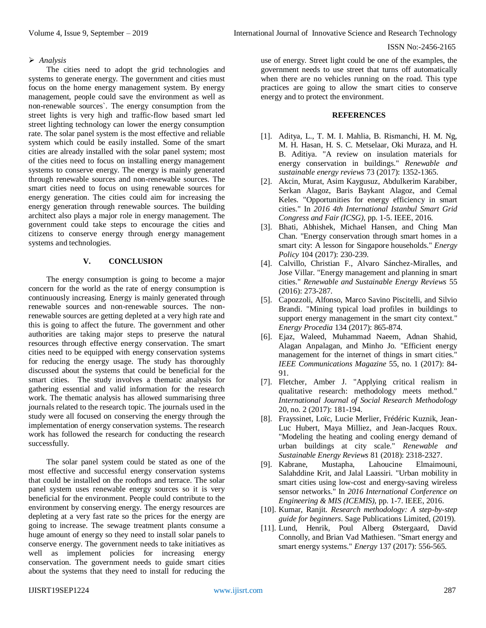# *Analysis*

The cities need to adopt the grid technologies and systems to generate energy. The government and cities must focus on the home energy management system. By energy management, people could save the environment as well as non-renewable sources`. The energy consumption from the street lights is very high and traffic-flow based smart led street lighting technology can lower the energy consumption rate. The solar panel system is the most effective and reliable system which could be easily installed. Some of the smart cities are already installed with the solar panel system; most of the cities need to focus on installing energy management systems to conserve energy. The energy is mainly generated through renewable sources and non-renewable sources. The smart cities need to focus on using renewable sources for energy generation. The cities could aim for increasing the energy generation through renewable sources. The building architect also plays a major role in energy management. The government could take steps to encourage the cities and citizens to conserve energy through energy management systems and technologies.

# **V. CONCLUSION**

The energy consumption is going to become a major concern for the world as the rate of energy consumption is continuously increasing. Energy is mainly generated through renewable sources and non-renewable sources. The nonrenewable sources are getting depleted at a very high rate and this is going to affect the future. The government and other authorities are taking major steps to preserve the natural resources through effective energy conservation. The smart cities need to be equipped with energy conservation systems for reducing the energy usage. The study has thoroughly discussed about the systems that could be beneficial for the smart cities. The study involves a thematic analysis for gathering essential and valid information for the research work. The thematic analysis has allowed summarising three journals related to the research topic. The journals used in the study were all focused on conserving the energy through the implementation of energy conservation systems. The research work has followed the research for conducting the research successfully.

The solar panel system could be stated as one of the most effective and successful energy conservation systems that could be installed on the rooftops and terrace. The solar panel system uses renewable energy sources so it is very beneficial for the environment. People could contribute to the environment by conserving energy. The energy resources are depleting at a very fast rate so the prices for the energy are going to increase. The sewage treatment plants consume a huge amount of energy so they need to install solar panels to conserve energy. The government needs to take initiatives as well as implement policies for increasing energy conservation. The government needs to guide smart cities about the systems that they need to install for reducing the

use of energy. Street light could be one of the examples, the government needs to use street that turns off automatically when there are no vehicles running on the road. This type practices are going to allow the smart cities to conserve energy and to protect the environment.

## **REFERENCES**

- [1]. Aditya, L., T. M. I. Mahlia, B. Rismanchi, H. M. Ng, M. H. Hasan, H. S. C. Metselaar, Oki Muraza, and H. B. Aditiya. "A review on insulation materials for energy conservation in buildings." *Renewable and sustainable energy reviews* 73 (2017): 1352-1365.
- [2]. Akcin, Murat, Asim Kaygusuz, Abdulkerim Karabiber, Serkan Alagoz, Baris Baykant Alagoz, and Cemal Keles. "Opportunities for energy efficiency in smart cities." In *2016 4th International Istanbul Smart Grid Congress and Fair (ICSG)*, pp. 1-5. IEEE, 2016.
- [3]. Bhati, Abhishek, Michael Hansen, and Ching Man Chan. "Energy conservation through smart homes in a smart city: A lesson for Singapore households." *Energy Policy* 104 (2017): 230-239.
- [4]. Calvillo, Christian F., Alvaro Sánchez-Miralles, and Jose Villar. "Energy management and planning in smart cities." *Renewable and Sustainable Energy Reviews* 55 (2016): 273-287.
- [5]. Capozzoli, Alfonso, Marco Savino Piscitelli, and Silvio Brandi. "Mining typical load profiles in buildings to support energy management in the smart city context." *Energy Procedia* 134 (2017): 865-874.
- [6]. Ejaz, Waleed, Muhammad Naeem, Adnan Shahid, Alagan Anpalagan, and Minho Jo. "Efficient energy management for the internet of things in smart cities." *IEEE Communications Magazine* 55, no. 1 (2017): 84- 91.
- [7]. Fletcher, Amber J. "Applying critical realism in qualitative research: methodology meets method." *International Journal of Social Research Methodology* 20, no. 2 (2017): 181-194.
- [8]. Frayssinet, Loïc, Lucie Merlier, Frédéric Kuznik, Jean-Luc Hubert, Maya Milliez, and Jean-Jacques Roux. "Modeling the heating and cooling energy demand of urban buildings at city scale." *Renewable and Sustainable Energy Reviews* 81 (2018): 2318-2327.
- [9]. Kabrane, Mustapha, Lahoucine Elmaimouni, Salahddine Krit, and Jalal Laassiri. "Urban mobility in smart cities using low-cost and energy-saving wireless sensor networks." In *2016 International Conference on Engineering & MIS (ICEMIS)*, pp. 1-7. IEEE, 2016.
- [10]. Kumar, Ranjit. *Research methodology: A step-by-step guide for beginners*. Sage Publications Limited, (2019).
- [11]. Lund, Henrik, Poul Alberg Østergaard, David Connolly, and Brian Vad Mathiesen. "Smart energy and smart energy systems." *Energy* 137 (2017): 556-565.